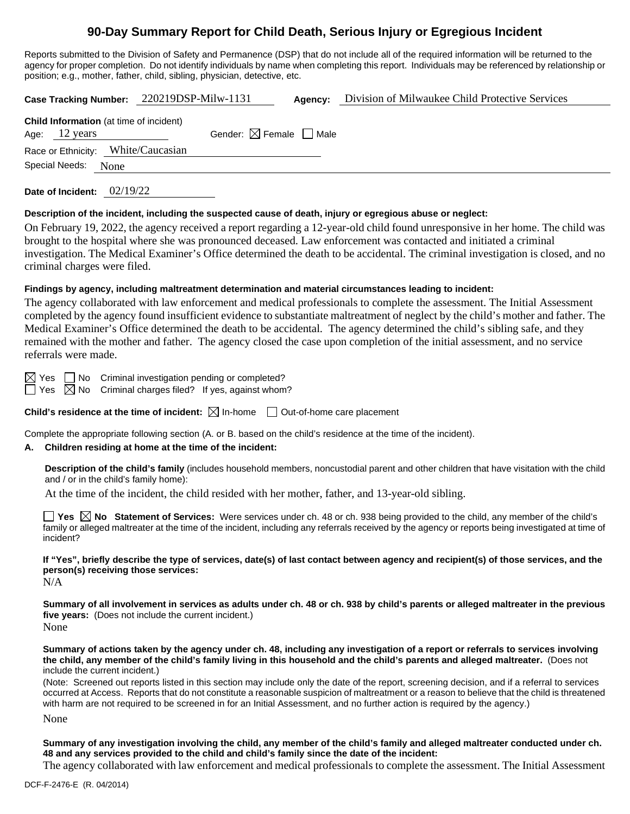# **90-Day Summary Report for Child Death, Serious Injury or Egregious Incident**

Reports submitted to the Division of Safety and Permanence (DSP) that do not include all of the required information will be returned to the agency for proper completion. Do not identify individuals by name when completing this report. Individuals may be referenced by relationship or position; e.g., mother, father, child, sibling, physician, detective, etc.

|                                                                           | Case Tracking Number: 220219DSP-Milw-1131 | Agency: | Division of Milwaukee Child Protective Services |  |  |
|---------------------------------------------------------------------------|-------------------------------------------|---------|-------------------------------------------------|--|--|
| <b>Child Information</b> (at time of incident)<br>Age: $12 \text{ years}$ | Gender: $\boxtimes$ Female $\Box$ Male    |         |                                                 |  |  |
| Race or Ethnicity: White/Caucasian<br>Special Needs:<br>None              |                                           |         |                                                 |  |  |
|                                                                           |                                           |         |                                                 |  |  |

**Date of Incident:** 02/19/22

#### **Description of the incident, including the suspected cause of death, injury or egregious abuse or neglect:**

On February 19, 2022, the agency received a report regarding a 12-year-old child found unresponsive in her home. The child was brought to the hospital where she was pronounced deceased. Law enforcement was contacted and initiated a criminal investigation. The Medical Examiner's Office determined the death to be accidental. The criminal investigation is closed, and no criminal charges were filed.

## **Findings by agency, including maltreatment determination and material circumstances leading to incident:**

The agency collaborated with law enforcement and medical professionals to complete the assessment. The Initial Assessment completed by the agency found insufficient evidence to substantiate maltreatment of neglect by the child's mother and father. The Medical Examiner's Office determined the death to be accidental. The agency determined the child's sibling safe, and they remained with the mother and father. The agency closed the case upon completion of the initial assessment, and no service referrals were made.

 $\boxtimes$  Yes  $\Box$  No Criminal investigation pending or completed?

 $\Box$  Yes  $\boxtimes$  No Criminal charges filed? If yes, against whom?

**Child's residence at the time of incident:**  $\boxtimes$  In-home  $\Box$  Out-of-home care placement

Complete the appropriate following section (A. or B. based on the child's residence at the time of the incident).

## **A. Children residing at home at the time of the incident:**

**Description of the child's family** (includes household members, noncustodial parent and other children that have visitation with the child and / or in the child's family home):

At the time of the incident, the child resided with her mother, father, and 13-year-old sibling.

**Yes**  $\boxtimes$  **No** Statement of Services: Were services under ch. 48 or ch. 938 being provided to the child, any member of the child's family or alleged maltreater at the time of the incident, including any referrals received by the agency or reports being investigated at time of incident?

**If "Yes", briefly describe the type of services, date(s) of last contact between agency and recipient(s) of those services, and the person(s) receiving those services:**

N/A

**Summary of all involvement in services as adults under ch. 48 or ch. 938 by child's parents or alleged maltreater in the previous five years:** (Does not include the current incident.) None

**Summary of actions taken by the agency under ch. 48, including any investigation of a report or referrals to services involving the child, any member of the child's family living in this household and the child's parents and alleged maltreater.** (Does not include the current incident.)

(Note: Screened out reports listed in this section may include only the date of the report, screening decision, and if a referral to services occurred at Access. Reports that do not constitute a reasonable suspicion of maltreatment or a reason to believe that the child is threatened with harm are not required to be screened in for an Initial Assessment, and no further action is required by the agency.)

None

**Summary of any investigation involving the child, any member of the child's family and alleged maltreater conducted under ch. 48 and any services provided to the child and child's family since the date of the incident:**

The agency collaborated with law enforcement and medical professionals to complete the assessment. The Initial Assessment